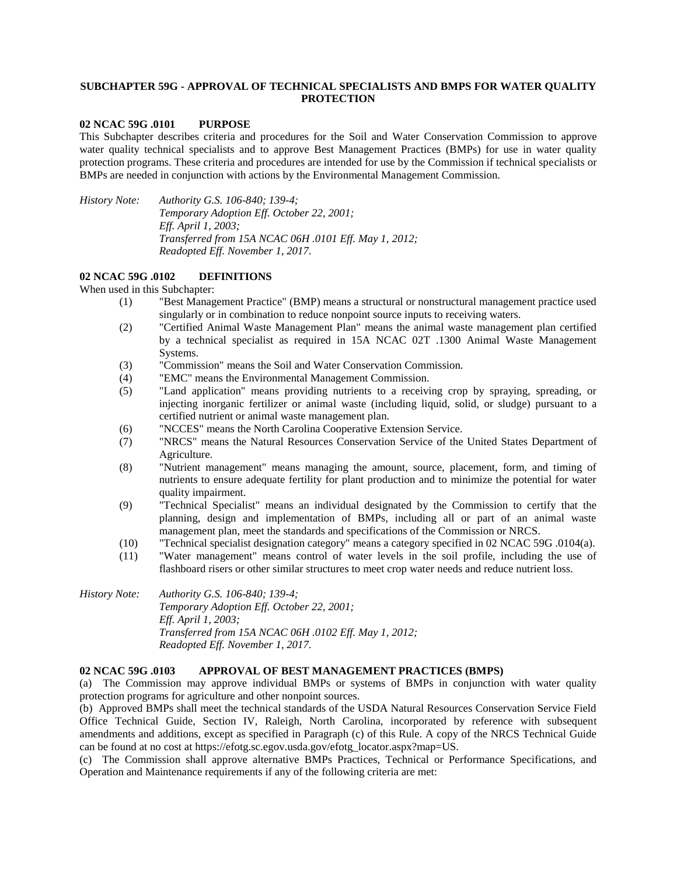# **SUBCHAPTER 59G - APPROVAL OF TECHNICAL SPECIALISTS AND BMPS FOR WATER QUALITY PROTECTION**

# **02 NCAC 59G .0101 PURPOSE**

This Subchapter describes criteria and procedures for the Soil and Water Conservation Commission to approve water quality technical specialists and to approve Best Management Practices (BMPs) for use in water quality protection programs. These criteria and procedures are intended for use by the Commission if technical specialists or BMPs are needed in conjunction with actions by the Environmental Management Commission.

*History Note: Authority G.S. 106-840; 139-4; Temporary Adoption Eff. October 22, 2001; Eff. April 1, 2003; Transferred from 15A NCAC 06H .0101 Eff. May 1, 2012; Readopted Eff. November 1, 2017.*

### **02 NCAC 59G .0102 DEFINITIONS**

When used in this Subchapter:

- (1) "Best Management Practice" (BMP) means a structural or nonstructural management practice used singularly or in combination to reduce nonpoint source inputs to receiving waters.
- (2) "Certified Animal Waste Management Plan" means the animal waste management plan certified by a technical specialist as required in 15A NCAC 02T .1300 Animal Waste Management Systems.
- (3) "Commission" means the Soil and Water Conservation Commission.
- (4) "EMC" means the Environmental Management Commission.
- (5) "Land application" means providing nutrients to a receiving crop by spraying, spreading, or injecting inorganic fertilizer or animal waste (including liquid, solid, or sludge) pursuant to a certified nutrient or animal waste management plan.
- (6) "NCCES" means the North Carolina Cooperative Extension Service.
- (7) "NRCS" means the Natural Resources Conservation Service of the United States Department of Agriculture.
- (8) "Nutrient management" means managing the amount, source, placement, form, and timing of nutrients to ensure adequate fertility for plant production and to minimize the potential for water quality impairment.
- (9) "Technical Specialist" means an individual designated by the Commission to certify that the planning, design and implementation of BMPs, including all or part of an animal waste management plan, meet the standards and specifications of the Commission or NRCS.
- (10) "Technical specialist designation category" means a category specified in 02 NCAC 59G .0104(a).
- (11) "Water management" means control of water levels in the soil profile, including the use of flashboard risers or other similar structures to meet crop water needs and reduce nutrient loss.

*History Note: Authority G.S. 106-840; 139-4; Temporary Adoption Eff. October 22, 2001; Eff. April 1, 2003; Transferred from 15A NCAC 06H .0102 Eff. May 1, 2012; Readopted Eff. November 1, 2017.*

#### **02 NCAC 59G .0103 APPROVAL OF BEST MANAGEMENT PRACTICES (BMPS)**

(a) The Commission may approve individual BMPs or systems of BMPs in conjunction with water quality protection programs for agriculture and other nonpoint sources.

(b) Approved BMPs shall meet the technical standards of the USDA Natural Resources Conservation Service Field Office Technical Guide, Section IV, Raleigh, North Carolina, incorporated by reference with subsequent amendments and additions, except as specified in Paragraph (c) of this Rule. A copy of the NRCS Technical Guide can be found at no cost at https://efotg.sc.egov.usda.gov/efotg\_locator.aspx?map=US.

(c) The Commission shall approve alternative BMPs Practices, Technical or Performance Specifications, and Operation and Maintenance requirements if any of the following criteria are met: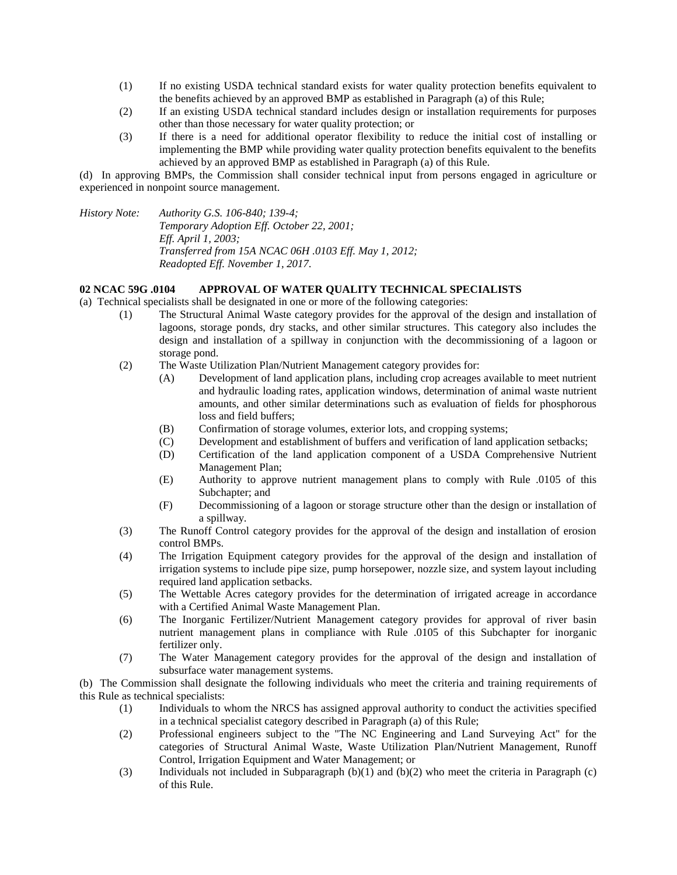- (1) If no existing USDA technical standard exists for water quality protection benefits equivalent to the benefits achieved by an approved BMP as established in Paragraph (a) of this Rule;
- (2) If an existing USDA technical standard includes design or installation requirements for purposes other than those necessary for water quality protection; or
- (3) If there is a need for additional operator flexibility to reduce the initial cost of installing or implementing the BMP while providing water quality protection benefits equivalent to the benefits achieved by an approved BMP as established in Paragraph (a) of this Rule.

(d) In approving BMPs, the Commission shall consider technical input from persons engaged in agriculture or experienced in nonpoint source management.

*History Note: Authority G.S. 106-840; 139-4;*

*Temporary Adoption Eff. October 22, 2001; Eff. April 1, 2003; Transferred from 15A NCAC 06H .0103 Eff. May 1, 2012; Readopted Eff. November 1, 2017.*

### **02 NCAC 59G .0104 APPROVAL OF WATER QUALITY TECHNICAL SPECIALISTS**

- (a) Technical specialists shall be designated in one or more of the following categories:
	- (1) The Structural Animal Waste category provides for the approval of the design and installation of lagoons, storage ponds, dry stacks, and other similar structures. This category also includes the design and installation of a spillway in conjunction with the decommissioning of a lagoon or storage pond.
	- (2) The Waste Utilization Plan/Nutrient Management category provides for:
		- (A) Development of land application plans, including crop acreages available to meet nutrient and hydraulic loading rates, application windows, determination of animal waste nutrient amounts, and other similar determinations such as evaluation of fields for phosphorous loss and field buffers;
		- (B) Confirmation of storage volumes, exterior lots, and cropping systems;
		- (C) Development and establishment of buffers and verification of land application setbacks;
		- (D) Certification of the land application component of a USDA Comprehensive Nutrient Management Plan;
		- (E) Authority to approve nutrient management plans to comply with Rule .0105 of this Subchapter; and
		- (F) Decommissioning of a lagoon or storage structure other than the design or installation of a spillway.
	- (3) The Runoff Control category provides for the approval of the design and installation of erosion control BMPs.
	- (4) The Irrigation Equipment category provides for the approval of the design and installation of irrigation systems to include pipe size, pump horsepower, nozzle size, and system layout including required land application setbacks.
	- (5) The Wettable Acres category provides for the determination of irrigated acreage in accordance with a Certified Animal Waste Management Plan.
	- (6) The Inorganic Fertilizer/Nutrient Management category provides for approval of river basin nutrient management plans in compliance with Rule .0105 of this Subchapter for inorganic fertilizer only.
	- (7) The Water Management category provides for the approval of the design and installation of subsurface water management systems.

(b) The Commission shall designate the following individuals who meet the criteria and training requirements of this Rule as technical specialists:

- (1) Individuals to whom the NRCS has assigned approval authority to conduct the activities specified in a technical specialist category described in Paragraph (a) of this Rule;
- (2) Professional engineers subject to the "The NC Engineering and Land Surveying Act" for the categories of Structural Animal Waste, Waste Utilization Plan/Nutrient Management, Runoff Control, Irrigation Equipment and Water Management; or
- (3) Individuals not included in Subparagraph (b)(1) and (b)(2) who meet the criteria in Paragraph (c) of this Rule.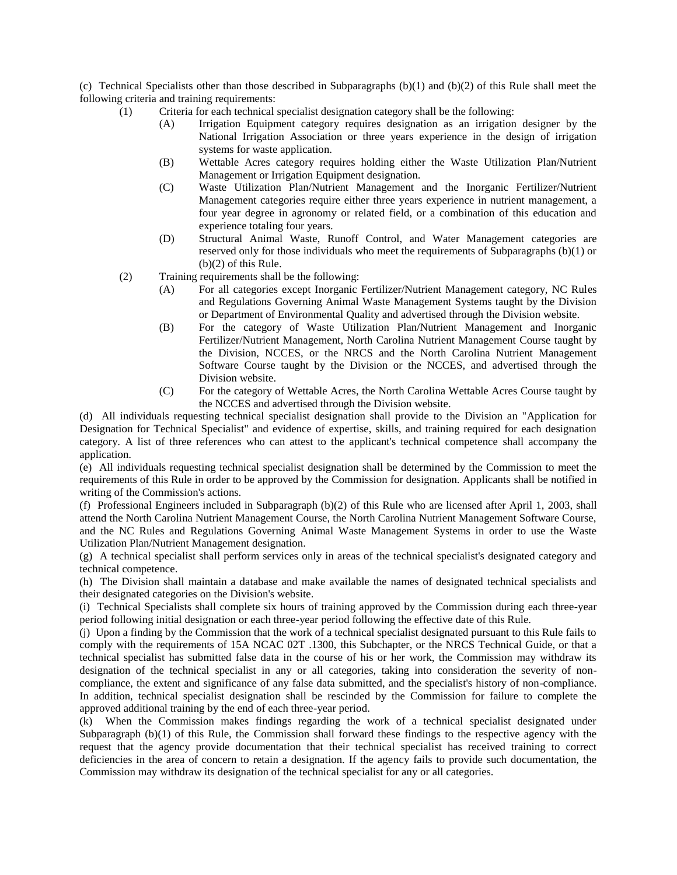(c) Technical Specialists other than those described in Subparagraphs (b)(1) and (b)(2) of this Rule shall meet the following criteria and training requirements:

- (1) Criteria for each technical specialist designation category shall be the following:
	- (A) Irrigation Equipment category requires designation as an irrigation designer by the National Irrigation Association or three years experience in the design of irrigation systems for waste application.
	- (B) Wettable Acres category requires holding either the Waste Utilization Plan/Nutrient Management or Irrigation Equipment designation.
	- (C) Waste Utilization Plan/Nutrient Management and the Inorganic Fertilizer/Nutrient Management categories require either three years experience in nutrient management, a four year degree in agronomy or related field, or a combination of this education and experience totaling four years.
	- (D) Structural Animal Waste, Runoff Control, and Water Management categories are reserved only for those individuals who meet the requirements of Subparagraphs (b)(1) or (b)(2) of this Rule.
- (2) Training requirements shall be the following:
	- (A) For all categories except Inorganic Fertilizer/Nutrient Management category, NC Rules and Regulations Governing Animal Waste Management Systems taught by the Division or Department of Environmental Quality and advertised through the Division website.
	- (B) For the category of Waste Utilization Plan/Nutrient Management and Inorganic Fertilizer/Nutrient Management, North Carolina Nutrient Management Course taught by the Division, NCCES, or the NRCS and the North Carolina Nutrient Management Software Course taught by the Division or the NCCES, and advertised through the Division website.
	- (C) For the category of Wettable Acres, the North Carolina Wettable Acres Course taught by the NCCES and advertised through the Division website.

(d) All individuals requesting technical specialist designation shall provide to the Division an "Application for Designation for Technical Specialist" and evidence of expertise, skills, and training required for each designation category. A list of three references who can attest to the applicant's technical competence shall accompany the application.

(e) All individuals requesting technical specialist designation shall be determined by the Commission to meet the requirements of this Rule in order to be approved by the Commission for designation. Applicants shall be notified in writing of the Commission's actions.

(f) Professional Engineers included in Subparagraph (b)(2) of this Rule who are licensed after April 1, 2003, shall attend the North Carolina Nutrient Management Course, the North Carolina Nutrient Management Software Course, and the NC Rules and Regulations Governing Animal Waste Management Systems in order to use the Waste Utilization Plan/Nutrient Management designation.

(g) A technical specialist shall perform services only in areas of the technical specialist's designated category and technical competence.

(h) The Division shall maintain a database and make available the names of designated technical specialists and their designated categories on the Division's website.

(i) Technical Specialists shall complete six hours of training approved by the Commission during each three-year period following initial designation or each three-year period following the effective date of this Rule.

(j) Upon a finding by the Commission that the work of a technical specialist designated pursuant to this Rule fails to comply with the requirements of 15A NCAC 02T .1300, this Subchapter, or the NRCS Technical Guide, or that a technical specialist has submitted false data in the course of his or her work, the Commission may withdraw its designation of the technical specialist in any or all categories, taking into consideration the severity of noncompliance, the extent and significance of any false data submitted, and the specialist's history of non-compliance. In addition, technical specialist designation shall be rescinded by the Commission for failure to complete the approved additional training by the end of each three-year period.

(k) When the Commission makes findings regarding the work of a technical specialist designated under Subparagraph (b)(1) of this Rule, the Commission shall forward these findings to the respective agency with the request that the agency provide documentation that their technical specialist has received training to correct deficiencies in the area of concern to retain a designation. If the agency fails to provide such documentation, the Commission may withdraw its designation of the technical specialist for any or all categories.